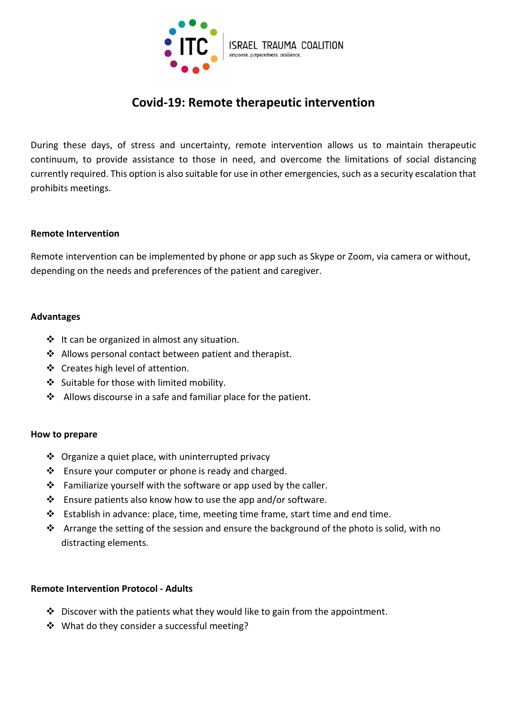

# Covid-19: Remote therapeutic intervention

During these days, of stress and uncertainty, remote intervention allows us to maintain therapeutic continuum, to provide assistance to those in need, and overcome the limitations of social distancing currently required. This option is also suitable for use in other emergencies, such as a security escalation that prohibits meetings.

#### Remote Intervention

Remote intervention can be implemented by phone or app such as Skype or Zoom, via camera or without, depending on the needs and preferences of the patient and caregiver.

#### Advantages

- $\cdot \cdot$  It can be organized in almost any situation.
- $\triangle$  Allows personal contact between patient and therapist.
- ❖ Creates high level of attention.
- Suitable for those with limited mobility.
- $\triangleleft$  Allows discourse in a safe and familiar place for the patient.

#### How to prepare

- $\triangle$  Organize a quiet place, with uninterrupted privacy
- ❖ Ensure your computer or phone is ready and charged.
- $\cdot \cdot$  Familiarize yourself with the software or app used by the caller.
- $\cdot \cdot$  Ensure patients also know how to use the app and/or software.
- Establish in advance: place, time, meeting time frame, start time and end time.
- $\cdot$  Arrange the setting of the session and ensure the background of the photo is solid, with no distracting elements.

#### Remote Intervention Protocol - Adults

- $\cdot$  Discover with the patients what they would like to gain from the appointment.
- ❖ What do they consider a successful meeting?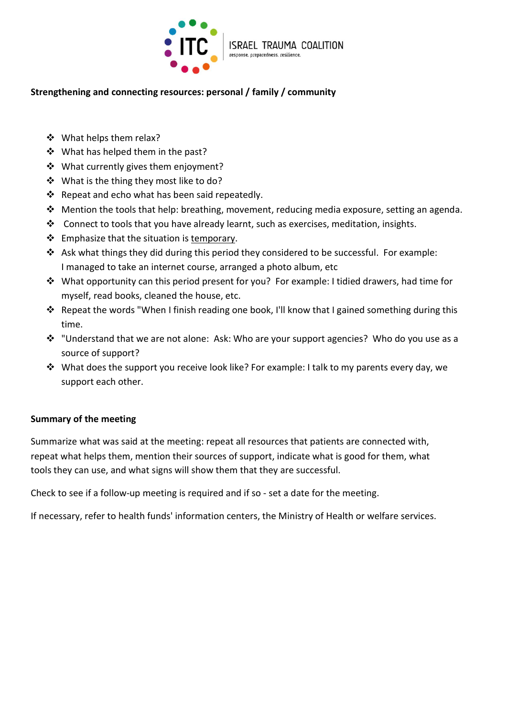

# Strengthening and connecting resources: personal / family / community

- ❖ What helps them relax?
- ❖ What has helped them in the past?
- ❖ What currently gives them enjoyment?
- ❖ What is the thing they most like to do?
- $\cdot$  Repeat and echo what has been said repeatedly.
- \* Mention the tools that help: breathing, movement, reducing media exposure, setting an agenda.
- Connect to tools that you have already learnt, such as exercises, meditation, insights.
- $\div$  Emphasize that the situation is temporary.
- Ask what things they did during this period they considered to be successful. For example: I managed to take an internet course, arranged a photo album, etc
- What opportunity can this period present for you? For example: I tidied drawers, had time for myself, read books, cleaned the house, etc.
- \* Repeat the words "When I finish reading one book, I'll know that I gained something during this time.
- \* "Understand that we are not alone: Ask: Who are your support agencies? Who do you use as a source of support?
- What does the support you receive look like? For example: I talk to my parents every day, we support each other.

# Summary of the meeting

Summarize what was said at the meeting: repeat all resources that patients are connected with, repeat what helps them, mention their sources of support, indicate what is good for them, what tools they can use, and what signs will show them that they are successful.

Check to see if a follow-up meeting is required and if so - set a date for the meeting.

If necessary, refer to health funds' information centers, the Ministry of Health or welfare services.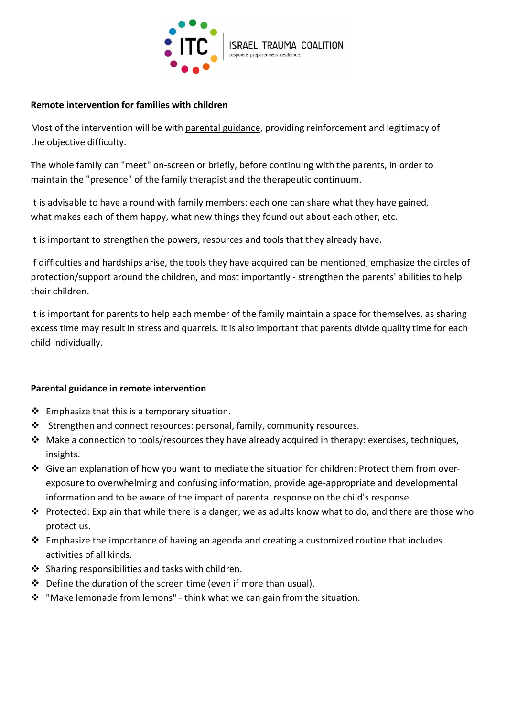

# Remote intervention for families with children

Most of the intervention will be with parental guidance, providing reinforcement and legitimacy of the objective difficulty.

The whole family can "meet" on-screen or briefly, before continuing with the parents, in order to maintain the "presence" of the family therapist and the therapeutic continuum.

It is advisable to have a round with family members: each one can share what they have gained, what makes each of them happy, what new things they found out about each other, etc.

It is important to strengthen the powers, resources and tools that they already have.

If difficulties and hardships arise, the tools they have acquired can be mentioned, emphasize the circles of protection/support around the children, and most importantly - strengthen the parents' abilities to help their children.

It is important for parents to help each member of the family maintain a space for themselves, as sharing excess time may result in stress and quarrels. It is also important that parents divide quality time for each child individually.

# Parental guidance in remote intervention

- $\triangleleft$  Emphasize that this is a temporary situation.
- Strengthen and connect resources: personal, family, community resources.
- Make a connection to tools/resources they have already acquired in therapy: exercises, techniques, insights.
- Give an explanation of how you want to mediate the situation for children: Protect them from overexposure to overwhelming and confusing information, provide age-appropriate and developmental information and to be aware of the impact of parental response on the child's response.
- Protected: Explain that while there is a danger, we as adults know what to do, and there are those who protect us.
- $\clubsuit$  Emphasize the importance of having an agenda and creating a customized routine that includes activities of all kinds.
- $\cdot \cdot$  Sharing responsibilities and tasks with children.
- $\div$  Define the duration of the screen time (even if more than usual).
- "Make lemonade from lemons" think what we can gain from the situation.